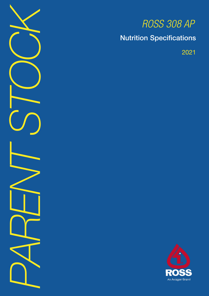*PARENT STOCK*

# *ROSS 308 AP*

Nutrition Specifications

2021

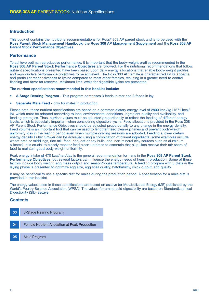## Introduction

This booklet contains the nutritional recommendations for Ross® 308 AP parent stock and is to be used with the Ross Parent Stock Management Handbook, the Ross 308 AP Management Supplement and the Ross 308 AP Parent Stock Performance Objectives.

### **Performance**

To achieve optimal reproductive performance, it is important that the body-weight profiles recommended in the Ross 308 AP Parent Stock Performance Objectives are followed. For the nutritional recommendations that follow, nutrient specifications presented have been based upon daily energy allocations that enable body-weight profiles and reproductive performance objectives to be achieved. The Ross 308 AP female is characterized by its appetite and particular responsiveness to lysine compared to most other females, resulting in a greater need to control fleshing and favor fat reserves. Maximum limit levels for digestible lysine are presented.

#### The nutrient specifications recommended in this booklet include:

- **3-Stage Rearing Program This program comprises 3 feeds in rear and 3 feeds in lay.**
- Separate Male Feed only for males in production.

Please note, these nutrient specifications are based on a common dietary energy level of 2800 kcal/kg (1271 kcal/ lb), which must be adapted according to local environmental conditions, ingredient quality and availability, and feeding strategies. Thus, nutrient values must be adjusted proportionally to reflect the feeding of different energy levels, which is especially important when considering digestible lysine. Feed allocations provided in the Ross 308 AP Parent Stock Performance Objectives should be adjusted proportionally to any change in the energy density. Feed volume is an important tool that can be used to lengthen feed clean-up times and prevent body-weight uniformity loss in the rearing period even when multiple grading sessions are adopted. Feeding a lower dietary energy density Pullet Grower can be achieved using a combination of diluent ingredients (some examples include wheat bran or middlings, rice mill-feed, rice, oat or soy hulls, and inert mineral clay sources such as aluminum silicates). It is crucial to closely monitor feed clean-up times to ascertain that all pullets receive their fair share of feed to maintain good body-weight uniformity.

Peak energy intake of 470 kcal/hen/day is the general recommendation for hens in the Ross 308 AP Parent Stock Performance Objectives, but several factors can influence the energy needs of hens in production. Some of these factors include body weight, egg mass output and season/house temperature. A feeding program with 3 diets in the laying phase is presented to optimize egg size, egg shell quality, hatchability, chick output, and quality.

It may be beneficial to use a specific diet for males during the production period. A specification for a male diet is provided in this booklet.

The energy values used in these specifications are based on assays for Metabolizable Energy (ME) published by the World's Poultry Science Association (WPSA). The values for amino acid digestibility are based on Standardized Ileal Digestibility (SID) assays.

## **Contents**

| 03 | 3-Stage Rearing Program                              |
|----|------------------------------------------------------|
|    |                                                      |
| 04 | <b>Female Nutrient Allocation at Peak Production</b> |
|    |                                                      |
| 05 | Male Program                                         |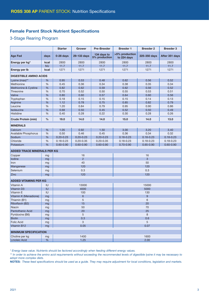# Female Parent Stock Nutrient Specifications

## 3-Stage Rearing Program

|                                    |               | <b>Starter</b> | <b>Grower</b>  | Pre-Breeder                  | <b>Breeder 1</b>              | <b>Breeder 2</b> | <b>Breeder 3</b> |  |
|------------------------------------|---------------|----------------|----------------|------------------------------|-------------------------------|------------------|------------------|--|
| <b>Age Fed</b>                     | days          | $0-28$ days    | 29-133 days    | 134 days to<br>5% production | >5% production<br>to 224 days | 225-350 days     | After 351 days   |  |
| Energy per kg*                     | kcal          | 2800           | 2800           | 2800                         | 2800                          | 2800             | 2800             |  |
|                                    | <b>MJ</b>     | 11.7           | 11.7           | 11.7                         | 11.7                          | 11.7             | 11.7             |  |
| <b>Energy per lb</b>               | kcal          | 1271           | 1271           | 1271                         | 1271                          | 1271             | 1271             |  |
| <b>DIGESTIBLE AMINO ACIDS</b>      |               |                |                |                              |                               |                  |                  |  |
| Lysine (max)**                     | %             | 0.95           | 0.53           | 0.48                         | 0.62                          | 0.56             | 0.52             |  |
| Methionine                         | %             | 0.45           | 0.36           | 0.34                         | 0.38                          | 0.35             | 0.34             |  |
| Methionine & Cystine               | %             | 0.82           | 0.62           | 0.59                         | 0.62                          | 0.56             | 0.52             |  |
| Threonine                          | %             | 0.70           | 0.52           | 0.50                         | 0.55                          | 0.53             | 0.51             |  |
| Valine                             | %             | 0.80           | 0.60           | 0.57                         | 0.64                          | 0.60             | 0.56             |  |
| Tryptophan                         | %             | 0.18           | 0.15           | 0.15                         | 0.15                          | 0.14             | 0.13             |  |
| Arginine                           | %             | 1.12           | 0.78           | 0.75                         | 0.85                          | 0.82             | 0.79             |  |
| Leucine                            | %             | 1.20           | 0.84           | 0.79                         | 0.95                          | 0.90             | 0.86             |  |
| Isoleucine                         | %             | 0.68           | 0.50           | 0.45                         | 0.52                          | 0.50             | 0.49             |  |
| Histidine                          | %             | 0.40           | 0.28           | 0.22                         | 0.30                          | 0.28             | 0.26             |  |
| <b>Crude Protein (min)</b>         | $\frac{0}{0}$ | 19.0           | 14.0           | 14.0                         | 15.0                          | 14.0             | 13.0             |  |
| <b>MINERALS</b>                    |               |                |                |                              |                               |                  |                  |  |
| Calcium                            | %             | 1.05           | 0.92           | 1.50                         | 3.00                          | 3.20             | 3.40             |  |
| Available Phosphorus               | %             | 0.50           | 0.46           | 0.45                         | 0.36                          | 0.34             | 0.32             |  |
| Sodium                             | %             | $0.20 - 0.23$  | $0.20 - 0.23$  | $0.20 - 0.23$                | $0.18 - 0.23$                 | $0.18 - 0.23$    | $0.18 - 0.23$    |  |
| Chloride                           | %             | $0.18 - 0.23$  | $0.20 - 0.35$  | $0.20 - 0.35$                | $0.18 - 0.23$                 | $0.18 - 0.23$    | $0.18 - 0.23$    |  |
| Potassium                          | %             | $0.60 - 0.90$  | $0.60 - 0.90$  | $0.60 - 0.90$                | $0.70 - 0.90$                 | $0.65 - 0.90$    | $0.60 - 0.90$    |  |
| <b>ADDED TRACE MINERALS PER KG</b> |               |                |                |                              |                               |                  |                  |  |
| Copper                             | mg            | 16             |                |                              | 16                            |                  |                  |  |
| lodine                             | mg            |                | $\overline{2}$ |                              | 3                             |                  |                  |  |
| Iron                               | mg            |                | 40             |                              | 50                            |                  |                  |  |
| Manganese                          | mg            | 120            |                |                              | 120                           |                  |                  |  |
| Selenium<br>0.3<br>mg              |               |                |                | 0.3                          |                               |                  |                  |  |
| Zinc                               | mg            |                | 120            |                              | 120                           |                  |                  |  |
| <b>ADDED VITAMINS PER KG</b>       |               |                |                |                              |                               |                  |                  |  |
| Vitamin A                          | IU            |                | 13000          |                              |                               | 15000            |                  |  |
| Vitamin D3                         | IU            |                | 4000           |                              | 5000                          |                  |                  |  |
| Vitamin E                          | IU            |                | 100            |                              | 130                           |                  |                  |  |
| Vitamin K (Menadione)<br>mg        |               | 6              |                |                              | 9                             |                  |                  |  |
| Thiamin (B1)                       | mg            |                | 5              |                              | 6                             |                  |                  |  |
| Riboflavin (B2)                    |               | 15<br>mg       |                | 20                           |                               |                  |                  |  |
| Niacin                             | mg            | 50             |                | 70                           |                               |                  |                  |  |
| Pantothenic Acid                   | 20<br>mg      |                | 25             |                              |                               |                  |                  |  |
| Pyridoxine (B6)<br>5<br>mg         |               | 8              |                |                              |                               |                  |                  |  |
| <b>Biotin</b>                      | mg            | 0.3            |                | 0.6                          |                               |                  |                  |  |
| <b>Folic Acid</b><br>3<br>mg       |               |                | 5              |                              |                               |                  |                  |  |
| Vitamin B12<br>mg                  |               | 0.05           |                |                              | 0.07                          |                  |                  |  |
| <b>MINIMUM SPECIFICATION</b>       |               |                |                |                              |                               |                  |                  |  |
| Choline per kg                     | mg            | 1400           |                |                              | 1600                          |                  |                  |  |
| $\%$<br>Linoleic Acid<br>1.25      |               | 2.00           |                |                              |                               |                  |                  |  |

*\* Energy base value. Nutrients should be factored accordingly when feeding different energy values.* 

*\*\* In order to achieve the amino acid requirements without exceeding the recommended levels of digestible lysine it may be necessary to adopt more complex diets.*

NOTES: *These feed specifications should be used as a guide. They may require adjustment for local conditions, legislation and markets.*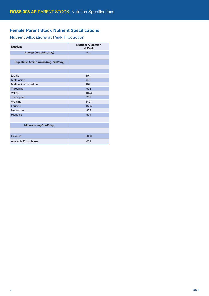# Female Parent Stock Nutrient Specifications

# Nutrient Allocations at Peak Production

| <b>Nutrient</b>                      | <b>Nutrient Allocation</b><br>at Peak |  |  |
|--------------------------------------|---------------------------------------|--|--|
| Energy (kcal/bird/day)               | 470                                   |  |  |
|                                      |                                       |  |  |
| Digestible Amino Acids (mg/bird/day) |                                       |  |  |
|                                      |                                       |  |  |
|                                      |                                       |  |  |
| Lysine                               | 1041                                  |  |  |
| Methionine                           | 638                                   |  |  |
| Methionine & Cystine                 | 1041                                  |  |  |
| Threonine                            | 923                                   |  |  |
| Valine                               | 1074                                  |  |  |
| Tryptophan                           | 252                                   |  |  |
| Arginine                             | 1427                                  |  |  |
| Leucine                              | 1595                                  |  |  |
| Isoleucine                           | 873                                   |  |  |
| Histidine                            | 504                                   |  |  |
|                                      |                                       |  |  |
| Minerals (mg/bird/day)               |                                       |  |  |
|                                      |                                       |  |  |
| Calcium                              | 5036                                  |  |  |
| Available Phosphorus                 | 604                                   |  |  |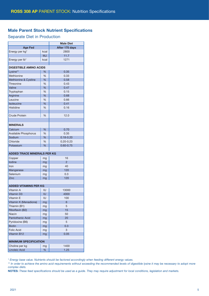# Male Parent Stock Nutrient Specifications

## Separate Diet in Production

|                                    | <b>Male Diet</b> |                |  |  |
|------------------------------------|------------------|----------------|--|--|
| <b>Age Fed</b>                     | After 175 days   |                |  |  |
| Energy per kg*                     | kcal             | 2800           |  |  |
|                                    | <b>MJ</b>        | 11.7           |  |  |
| Energy per Ib*                     | kcal             | 1271           |  |  |
|                                    |                  |                |  |  |
| <b>DIGESTIBLE AMINO ACIDS</b>      |                  |                |  |  |
| Lysine**                           | %                | 0.35           |  |  |
| Methionine                         | %                | 0.33           |  |  |
| Methionine & Cystine               | %                | 0.58           |  |  |
| Threonine                          | %                | 0.43           |  |  |
| Valine                             | %                | 0.47           |  |  |
| Tryptophan                         | %                | 0.15           |  |  |
| Arginine                           | %                | 0.68           |  |  |
| Leucine                            | %                | 0.66           |  |  |
| Isoleucine                         | %                | 0.41           |  |  |
| <b>Histidine</b>                   | %                | 0.16           |  |  |
|                                    |                  |                |  |  |
| <b>Crude Protein</b>               | %                | 12.0           |  |  |
|                                    |                  |                |  |  |
| <b>MINERALS</b>                    |                  |                |  |  |
| Calcium                            | %                | 0.70           |  |  |
| <b>Available Phosphorus</b>        | %                | 0.35           |  |  |
| Sodium                             | %                | $0.18 - 0.20$  |  |  |
| Chloride                           | %                | $0.20 - 0.23$  |  |  |
| Potassium                          | %                | $0.60 - 0.75$  |  |  |
|                                    |                  |                |  |  |
| <b>ADDED TRACE MINERALS PER KG</b> |                  |                |  |  |
| Copper                             | mg               | 16             |  |  |
| lodine                             | mg               | $\overline{2}$ |  |  |
| Iron                               | mg               | 40             |  |  |
| Manganese                          | mg               | 120            |  |  |
| Selenium                           | mg               | 0.3            |  |  |
| Zinc                               | mg               | 120            |  |  |
|                                    |                  |                |  |  |
| <b>ADDED VITAMINS PER KG</b>       |                  |                |  |  |
| Vitamin A                          | IU               | 13000          |  |  |
| <b>Vitamin D3</b>                  | IU               | 4000           |  |  |
| Vitamin E                          | IU               | 100            |  |  |
| Vitamin K (Menadione)              | mg               | 6              |  |  |
| Thiamin (B1)                       | mg               | 5              |  |  |
| Riboflavin (B2)                    | mg               | 15             |  |  |
| Niacin                             | mg               | 50             |  |  |
| <b>Pantothenic Acid</b>            | mg               | 20             |  |  |
| Pyridoxine (B6)                    | mg               | 5              |  |  |
| <b>Biotin</b>                      | mg               | 0.3            |  |  |
| <b>Folic Acid</b>                  | mg               | 3              |  |  |
| Vitamin B12                        | mg               | 0.05           |  |  |
|                                    |                  |                |  |  |
| <b>MINIMUM SPECIFICATION</b>       |                  |                |  |  |
| Choline per kg                     |                  |                |  |  |
| <b>Linoleic Acid</b>               | mg               | 1400           |  |  |

*\* Energy base value. Nutrients should be factored accordingly when feeding different energy values.*

*\*\* In order to achieve the amino acid requirements without exceeding the recommended levels of digestible lysine it may be necessary to adopt more complex diets.*

NOTES: *These feed specifications should be used as a guide. They may require adjustment for local conditions, legislation and markets.*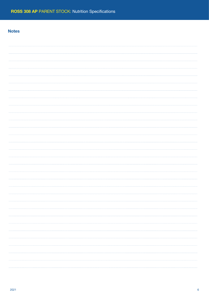## **Notes**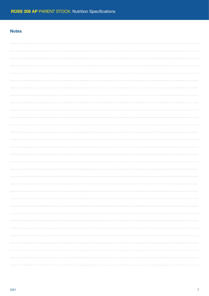# **Notes**